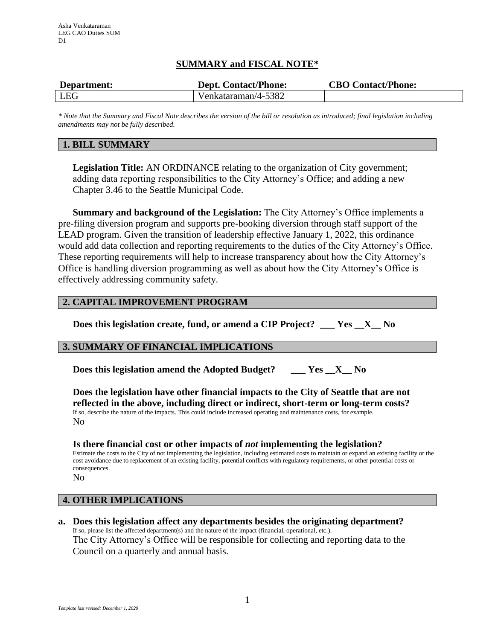# **SUMMARY and FISCAL NOTE\***

| Department: | <b>Dept. Contact/Phone:</b> | <b>CBO Contact/Phone:</b> |
|-------------|-----------------------------|---------------------------|
| LEG         | Venkataraman/4-5382         |                           |

*\* Note that the Summary and Fiscal Note describes the version of the bill or resolution as introduced; final legislation including amendments may not be fully described.*

# **1. BILL SUMMARY**

**Legislation Title:** AN ORDINANCE relating to the organization of City government; adding data reporting responsibilities to the City Attorney's Office; and adding a new Chapter 3.46 to the Seattle Municipal Code.

**Summary and background of the Legislation:** The City Attorney's Office implements a pre-filing diversion program and supports pre-booking diversion through staff support of the LEAD program. Given the transition of leadership effective January 1, 2022, this ordinance would add data collection and reporting requirements to the duties of the City Attorney's Office. These reporting requirements will help to increase transparency about how the City Attorney's Office is handling diversion programming as well as about how the City Attorney's Office is effectively addressing community safety.

## **2. CAPITAL IMPROVEMENT PROGRAM**

**Does this legislation create, fund, or amend a CIP Project? \_\_\_ Yes \_\_X\_\_ No**

## **3. SUMMARY OF FINANCIAL IMPLICATIONS**

**Does this legislation amend the Adopted Budget? \_\_\_ Yes \_\_X\_\_ No**

**Does the legislation have other financial impacts to the City of Seattle that are not reflected in the above, including direct or indirect, short-term or long-term costs?** If so, describe the nature of the impacts. This could include increased operating and maintenance costs, for example. No

## **Is there financial cost or other impacts of** *not* **implementing the legislation?**

Estimate the costs to the City of not implementing the legislation, including estimated costs to maintain or expand an existing facility or the cost avoidance due to replacement of an existing facility, potential conflicts with regulatory requirements, or other potential costs or consequences.

No

# **4. OTHER IMPLICATIONS**

**a. Does this legislation affect any departments besides the originating department?** If so, please list the affected department(s) and the nature of the impact (financial, operational, etc.). The City Attorney's Office will be responsible for collecting and reporting data to the Council on a quarterly and annual basis.